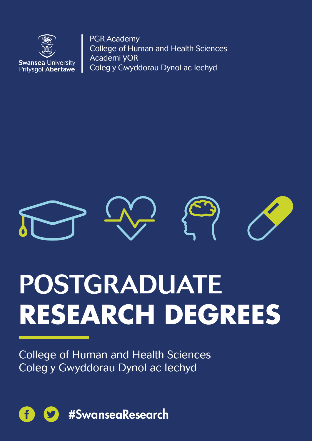

PGR Academy College of Human and Health Sciences Academi YOR Coleg y Gwyddorau Dynol ac Iechyd



# POSTGRADUATE **RESEARCH DEGREES**

College of Human and Health Sciences Coleg y Gwyddorau Dynol ac Iechyd

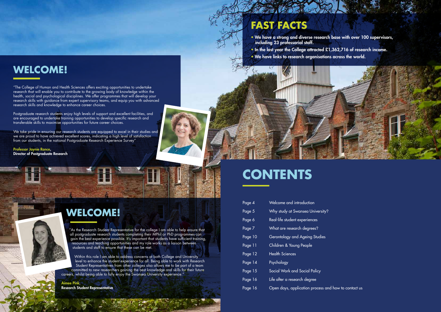

how to contact us

## **WELCOME!**

"The College of Human and Health Sciences offers exciting opportunities to undertake research that will enable you to contribute to the growing body of knowledge within the health, social and psychological disciplines. We offer programmes that will develop your research skills with guidance from expert supervisory teams, and equip you with advanced research skills and knowledge to enhance career choices.

Postgraduate research students enjoy high levels of support and excellent facilities, and are encouraged to undertake training opportunities to develop specific research and transferable skills to maximise opportunities for future career choices.

We take pride in ensuring our research students are equipped to excel in their studies and we are proud to have achieved excellent scores, indicating a high level of satisfaction from our students, in the national Postgraduate Research Experience Survey"

Professor Jaynie Rance, Director of Postgraduate Research

## **WELCOME!**

"As the Research Student Representative for the college I am able to help ensure that all postgraduate research students completing their MPhil or PhD programmes can gain the best experience possible. It's important that students have sufficient training, resources and teaching opportunities and my role works as a liaison between students and staff to ensure that these can be met.

Within this role I am able to address concerns at both College and University level to enhance the student experience for all. Being able to work with Research Student Representatives from other colleges also allows me to be part of a team committed to new researchers gaining the best knowledge and skills for their future careers, whilst being able to fully enjoy the Swansea University experience."



Aimee Pink, Research Student Representative

## **FAST FACTS**

- We have a strong and diverse research base with over 100 supervisors, including 23 professorial staff.
- In the last year the College attracted £1,362,716 of research income.
- We have links to research organisations across the world.

# **CONTENTS**

| Page 4  | <b>Welcome and introduction</b>    |
|---------|------------------------------------|
| Page 5  | Why study at Swansea University?   |
| Page 6  | Real-life student experiences      |
| Page 7  | What are research degrees?         |
| Page 10 | Gerontology and Ageing Studies     |
| Page 11 | Children & Young People            |
| Page 12 | <b>Health Sciences</b>             |
| Page 14 | Psychology                         |
| Page 15 | Social Work and Social Policy      |
| Page 16 | Life after a research degree       |
| Page 16 | Open days, application process and |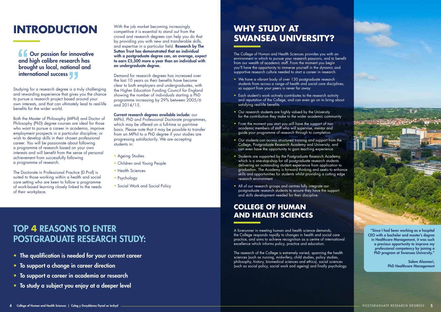### Our passion for innovative and high calibre research has brought us local, national and **International success**<br>
dying for a research degree is a tr<br>
d rewarding experience that gives **"**<br>and<br>brou

## **INTRODUCTION**

Studying for a research degree is a truly challenging and rewarding experience that gives you the chance to pursue a research project based around your own interests, and that can ultimately lead to real-life benefits for the wider world.

Both the Master of Philosophy (MPhil) and Doctor of Philosophy (PhD) degree courses are ideal for those who want to pursue a career in academia, improve employment prospects in a particular discipline; or wish to develop skills in their chosen professional career. You will be passionate about following a programme of research based on your own interests and will benefit from the sense of personal achievement from successfully following a programme of research.

Demand for research degrees has increased over the last 10 years as their benefits have become clear to both employers and undergraduates, with the Higher Education Funding Council for England showing the number of individuals starting a PhD programme increasing by 29% between 2005/6  $\frac{1}{2014}/15$ .

The Doctorate in Professional Practice (D.Prof) is suited to those working within a health and social care setting who are keen to follow a programme of work-based learning closely linked to the needs of their workplace.

- Ageing Studies
- Children and Young People
- Health Sciences
- Psychology
- Social Work and Social Policy

- The qualification is needed for your current career
- To support a change in career direction
- To support a career in academia or research
- To study a subject you enjoy at a deeper level

With the job market becoming increasingly competitive it is essential to stand out from the crowd and research degrees can help you do that by providing you with new and transferable skills, and expertise in a particular field. Research by The Sutton Trust has demonstrated that an individual with a postgraduate degree can, on average, expect to earn £5,500 more a year than an individual with an undergraduate degree.

#### Current research degrees available include: our

MPhil, PhD and Professional Doctorate programmes, which may be offered on a full-time or part-time basis. Please note that it may be possible to transfer from an MPhil to a PhD degree if your studies are progressing satisfactorily. We are accepting students in:

## TOP **4** REASONS TO ENTER POSTGRADUATE RESEARCH STUDY:

## **WHY STUDY AT SWANSEA UNIVERSITY?**

The College of Human and Health Sciences provides you with an environment in which to pursue your research passions, and to benefit from our wealth of academic staff. From the moment you begin you'll have the opportunity to immerse yourself in the dynamic and supportive research culture needed to start a career in research.

- We have a vibrant body of over 130 postgraduate research students from across a range of health and social care disciplines, so support from your peers is never far away
- Each student's work actively contributes to the research activity and reputation of the College, and can even go on to bring about satisfying real-life benefits
- Our research students are highly valued by the University for the contribution they make to the wider academic community
- From the moment you start you will have the support of two academic members of staff who will supervise, mentor and guide your programme of research through to completion
- Our students can access structured training and support from the College, Postgraduate Research Academy and University, and can even have the opportunity to gain teaching experience
- Students are supported by the Postgraduate Research Academy, which is a one-stop-shop for all postgraduate research students delivering an outstanding student experience from application to graduation. The Academy is forward thinking and seeks to enhance skills and opportunities for students whilst providing a cutting edge research environment
- All of our research groups and centres fully integrate our postgraduate research students to ensure they have the support and skills development needed for their discipline.

### **COLLEGE OF HUMAN AND HEALTH SCIENCES**

A forerunner in meeting human and health science demands, the College responds rapidly to changes in health and social care practice, and aims to achieve recognition as a centre of international excellence which informs policy, practice and education.

The research of the College is extremely varied, spanning the health sciences (such as nursing, midwifery, child studies, policy studies, philosophy, history, biomedical sciences and ethics), social sciences (such as social policy, social work and ageing) and finally psychology.



CEO with a bachelor and master's degree in Healthcare Management, it was such a precious opportunity to improve my professional competency by joining a PhD program at Swansea University."

> Salem Alasmari, PhD Healthcare Management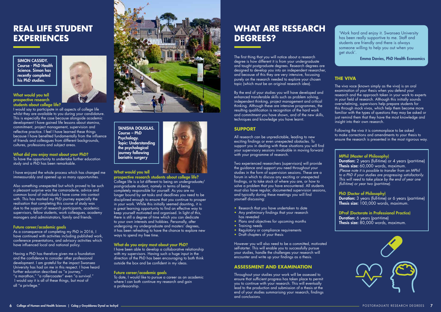#### SIMON CASSIDY. Course - PhD Health Science. Simon has recently completed his PhD studies.



### **REAL LIFE STUDENT EXPERIENCES**

#### What would you tell prospective research students about college life?

I would say to participate in all aspects of college life whilst they are available to you during your candidature. This is especially the case because alongside academic development I have gained life lessons about stamina, commitment, project management, supervision and reflective practice. I feel I have learned these things because I have benefited fundamentally from the influence of friends and colleagues from different backgrounds, cultures, professions and subject areas.

What did you enjoy most about your PhD?

To have the opportunity to undertake further education study and a PhD has been remarkable.

I have enjoyed the whole process which has changed me immeasurably and opened up so many opportunities.

Also something unexpected but which proved to be such a pleasant surprise was the camaraderie, advice and common bond of individuals I have come into contact with. This has marked my PhD journey especially the realisation that completing this course of study was due to the support of research participants, academic supervisors, fellow students, work colleagues, academy managers and administrators, family and friends.

#### Future career/academic goals

As a consequence of completing my PhD in 2016, I have continued with activities including published work, conference presentations, and advisory activities which have influenced local and national policy.

## **WHAT ARE RESEARCH DEGREES?**

Having a PhD has therefore given me a foundation and the confidence to consider other professional development. I am grateful for the impact Swansea University has had on me in this respect. I have heard further education described as "a journey." "a marathon," "a rollercoaster" even "a survival." I would say it is all of these things, but most of all "a privilege."



All research can be unpredictable, leading to new exciting findings or even unexpected obstacles. To support you in dealing with these situations you will find your supervisory sessions invaluable in moving forward with your programme of research.

TANISHA DOUGLAS. Course – PhD Psychology. Topic: Understanding the psychological journey following bariatric surgery



#### What would you tell prospective research students about college life?

College life is a lot different to being an undergraduate/ post-graduate student, namely in terms of being completely responsible for yourself. As you are no longer bound by set tasks and deadlines you need to be disciplined enough to ensure that you continue to prosper in your work. While this initially seemed daunting, it is a great learning opportunity to find an effective way to keep yourself motivated and organised. In light of this, there is still a degree of time which you can dedicate to your own interests and hobbies. Personally, after undergoing my undergraduate and masters' degrees, it has been refreshing to have the chance to explore new ways to spend my free time.

#### What do you enjoy most about your PhD?

I have been able to develop a collaborative relationship with my supervisors. Having such a huge input in the direction of the PhD has been encouraging to both think outside the box and be confident in my ideas.

#### Future career/academic goals

To date, I would like to pursue a career as an academic where I can both continue my research and gain a professorship.

#### DProf (Doctorate in Professional Practice) Duration: 6 years (part-time) Thesis size: 80,000 words, maximum.



The first thing that you will notice about a research degree is how different it is from your undergraduate and taught postgraduate degrees. Research degrees are designed to develop you into an independent researcher, and because of this they are very intensive, focussing purely on the research needed to explore your chosen topic (which must be an original research idea).

By the end of your studies you will have developed and enhanced transferable skills such as problem solving, independent thinking, project management and critical thinking. Although these are intensive programmes, the resulting qualification is recognition of the hard work and commitment you have shown, and of the new skills, techniques and knowledge you have learnt.

#### **SUPPORT**

Two experienced researchers (supervisors) will provide the guidance and support you need throughout your studies in the form of supervision sessions. These are a forum in which to discuss any exciting or unexpected findings, or to take stock of where you are, or how to solve a problem that you have encountered. All students must also have regular, documented supervision sessions, and typically during these meetings you will find yourself discussing:

- Research that you have undertaken to date
- Any preliminary findings that your research has revealed
- Plans and objectives for upcoming months
- Training needs
- Regulatory or compliance requirements
- Draft chapters of your thesis

However you will also need to be a committed, motivated self-starter. This will enable you to successfully pursue your studies, handle the challenges your research will encounter and write up your findings as a thesis.

#### **ASSESSMENT AND EXAMINATION**

Throughout your studies your work will be assessed to ensure that sufficient progress has taken place to permit you to continue with your research. This will eventually lead to the production and submission of a thesis at the end of your studies summarising your research, findings and conclusions.

'Work hard and enjoy it. Swansea University has been really supportive to me. Staff and students are friendly and there is always someone willing to help you out when you get stuck'.

Emma Davies, PhD Health Economics

#### **THE VIVA**

The viva voce (known simply as the viva) is an oral examination of your thesis when you defend your research and the approach taken in your work to experts in your field of research. Although this initially sounds overwhelming, supervisors help prepare students for this through mock vivas, which help them become more familiar with the types of questions they may be asked or just remind them that they have the most knowledge and insight into their own research.

Following the viva it is commonplace to be asked to make corrections and amendments to your thesis to ensure the research is presented in the most rigorous way.

#### MPhil (Master of Philosophy) **Duration:** 2 years (full-time) or 4 years (part-time) Thesis size: 60,000 words, maximum. *(Please note it is possible to transfer from an MPhil to a PhD if your studies are progressing satisfactorily. This will need to take place by the end of year one (full-time) or year two (part-time).*

#### PhD (Doctor of Philosophy)

Duration: 3 years (full-time) or 6 years (part-time) Thesis size: 100,000 words, maximum.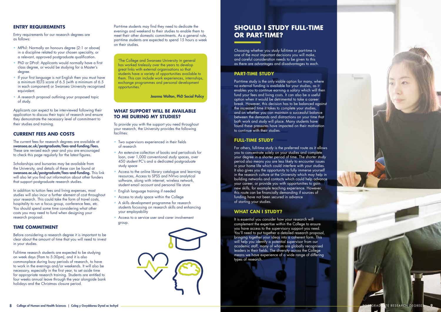#### **ENTRY REQUIREMENTS**

Entry requirements for our research degrees are as follows:

- MPhil: Normally an honours degree (2:1 or above) in a discipline related to your chosen speciality, or a relevant, approved postgraduate qualification.
- PhD or DProf: Applicants would normally have a first class degree, or would be studying for a Master's degree.
- If your first language is not English then you must have a minimum IELTS score of 6.5 (with a minimum of 6.5 in each component) or Swansea University recognised equivalent.
- A research proposal outlining your proposed topic of study.

Applicants can expect to be interviewed following their application to discuss their topic of research and ensure they demonstrate the necessary level of commitment to their studies and training.

#### **CURRENT FEES AND COSTS**

The current fees for research degrees are available at swansea.ac.uk/postgraduate/fees-and-funding/fees. These are revised each year and you are encouraged to check this page regularly for the latest figures.

Scholarships and bursaries may be available from the University, and details of these can be found at swansea.ac.uk/postgraduate/fees-and-funding. This link will also let you find out information about other funders that support postgraduate research studies.

In addition to tuition fees and living expenses, most studies will also incur a further element of cost throughout your research. This could take the form of travel costs, hospitality to run a focus group, conference fees, etc. You should spend some time considering what other costs you may need to fund when designing your research proposal.

#### **TIME COMMITMENT**

Before considering a research degree it is important to be clear about the amount of time that you will need to invest in your studies.

- Two supervisors experienced in their fields of research
- An extensive collection of books and periodicals for loan, over 1,000 conventional study spaces, over 450 student PC's and a dedicated postgraduate study space
- Access to the online library catalogue and learning resources, Access to SPSS and NVivo analytical software, along with internet, wireless network, student email account and personal file store
- English language training if needed
- Access to study space within the College
- A skills development programme for research students focussing on research skills and enhancing your employability
- Access to a service user and carer involvement group.



Full-time research students are expected to be studying on week days (9am to 5:30pm), and it is also commonplace during busy periods of research, to have to work in the evenings and/or weekends. It will also be necessary, especially in the first year, to set aside time for appropriate research training. Students are entitled to four weeks annual leave through the year alongside bank holidays and the Christmas closure period.

Part-time students may find they need to dedicate the evenings and weekend to their studies to enable them to meet their other domestic commitments. As a general rule, part-time students are expected to spend 15 hours a week on their studies.

'The College and Swansea University in general has worked tirelessly over the years to develop areat links with external organisations so that students have a variety of opportunities available to them. This can include work experiences, internships, exchange programmes and personal development opportunities.'

Joanna Wolton, PhD Social Policy

#### **WHAT SUPPORT WILL BE AVAILABLE TO ME DURING MY STUDIES?**

To provide you with the support you need throughout your research, the University provides the following facilities:

### **SHOULD I STUDY FULL-TIME OR PART-TIME?**

Choosing whether you study full-time or part-time is one of the most important decisions you will make, and careful consideration needs to be given to this as there are advantages and disadvantages to each.

#### **PART-TIME STUDY**

Part-time study is the only viable option for many, where no external funding is available for your studies, as it enables you to continue earning a salary which will then fund your fees and living costs. It can also be a useful option when it would be detrimental to take a career break. However, this decision has to be balanced against the increased time it takes to complete your studies, and on whether you can maintain a successful balance between the demands and distractions on your time that both work and study will place. Many students have found these pressures have impacted on their motivation to continue with their studies.

#### **FULL-TIME STUDY**

For others, full-time study is the preferred route as it allows you to concentrate solely on your studies and complete your degree in a shorter period of time. The shorter study period also means you are less likely to encounter issues in your home life which could interfere with your studies. It also gives you the opportunity to fully immerse yourself in the research culture at the University which may help in building networks and contacts which could help advance your career, or provide you with opportunities to gain new skills, for example teaching experience. However, this route can be financially demanding if sources of funding have not been secured in advance of starting your studies.

#### **WHAT CAN I STUDY?**

It is essential you consider how your research will complement the expertise within the College to ensure you have access to the supervisory support you need. You'll need to put together a detailed research proposal, bringing together your ideas into a coherent form. This will help you identify a potential supervisor from our academic staff, many of whom are globally recognised leaders in their fields. The diversity across the College means we have experience of a wide range of differing types of research.

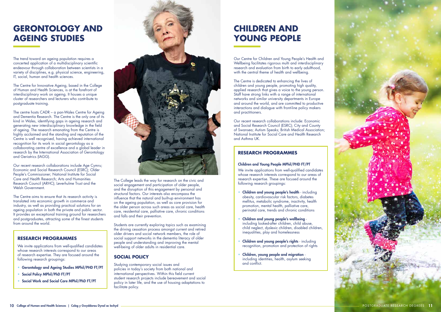

## **GERONTOLOGY AND AGEING STUDIES**

The trend toward an ageing population requires a concerted application of a multidisciplinary scientific endeavour through collaboration between scientists in a variety of disciplines, e.g. physical science, engineering, IT, social, human and health sciences.

The Centre for Innovative Ageing, based in the College of Human and Health Sciences, is at the forefront of interdisciplinary work on ageing. It houses a unique cluster of researchers and lecturers who contribute to postgraduate training.

Our recent research collaborations include Age Cymru; Economic and Social Research Council (ESRC); Older People's Commissioner; National Institute for Social Care and Health Research; Arts and Humanities Research Council (ARHC); Leverhulme Trust and the Welsh Government

The Centre aims to ensure that its research activity is translated into economic growth in commerce and industry, as well as providing practical solutions for an ageing population in both the private and public sector. It provides an exceptional training ground for researchers and postgraduates, attracting some of the finest students from around the world.

The centre hosts CADR – a pan-Wales Centre for Ageing and Dementia Research. The Centre is the only one of its kind in Wales, identifying gaps in ageing research and generating new interdisciplinary knowledge in the field of ageing. The research emanating from the Centre is highly acclaimed and the standing and reputation of the Centre is well recognised, having achieved international recognition for its work in social gerontology as a collaborating centre of excellence and a global leader in research by the International Association of Gerontology and Geriatrics (IAGG).

Our Centre for Children and Young People's Health and Wellbeing facilitates rigorous multi and interdisciplinary research and evaluation from birth to early adulthood, with the central theme of health and wellbeing.

#### **RESEARCH PROGRAMMES**

We invite applications from well-qualified candidates whose research interests correspond to our areas of research expertise. They are focused around the following research groupings:

- Gerontology and Ageing Studies MPhil/PHD FT/PT
- Social Policy MPhil/PhD FT/PT
- Social Work and Social Care MPhil/PhD FT/PT



The College leads the way for research on the civic and social engagement and participation of older people, and the disruption of this engagement by personal and structural factors. Our interests also encompass the influence that the natural and built-up environment has on the ageing population, as well as core provision for the older person across such areas as social care, health care, residential care, palliative care, chronic conditions and falls and their prevention.

- Children and young people's health including obesity, cardiovascular risk factors, diabetes mellitus, metabolic syndrome, inactivity, health promotion, mental health, palliative care, perinatal care, trends and chronic conditions
- Children and young people's wellbeing including looked-after children, child abuse, child neglect, dyslexic children, disabled children, inequalities, play and homelessness
- Children and young people's rights including recognition, promotion and protection of rights
- Children, young people and migration including identities, health, asylum seeking and conflict.

Students are currently exploring topics such as examining the driving cessation process amongst current and retired older drivers and social network members, the role of social support networks in the dementia literacy of older people and understanding and improving the mental well-being of older adults in residential care.

#### **SOCIAL POLICY**

Studying contemporary social issues and policies in today's society from both national and international perspectives. Within this field current student research projects include bereavement and social policy in later life, and the use of housing adaptations to facilitate policy.

## **CHILDREN AND YOUNG PEOPLE**

The Centre is dedicated to enhancing the lives of children and young people, promoting high quality, applied research that gives a voice to the young person. Staff have strong links with a range of international networks and similar university departments in Europe and around the world, and are committed to productive interactions and dialogue with front-line policy makers and practitioners.

Our recent research collaborations include: Economic and Social Research Council (ESRC); City and County of Swansea; Autism Speaks; British Medical Association; National Institute for Social Care and Health Research and Asthma UK.

#### **RESEARCH PROGRAMMES**

#### Children and Young People MPhil/PHD FT/PT

We invite applications from well-qualified candidates whose research interests correspond to our areas of research expertise. These are focused around the following research groupings: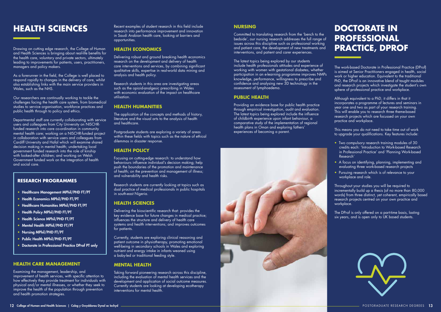

## **HEALTH SCIENCES**

Drawing on cutting edge research, the College of Human and Health Sciences is bringing about real-life benefits for the health care, voluntary and private sectors, ultimately leading to improvements for patients, users, practitioners, managers and policy makers.

Our researchers are continually working to tackle the challenges facing the health care system, from biomedical studies to service organisation, workforce practices and public health through to policy and ethics.

As a forerunner in the field, the College is well placed to respond rapidly to changes in the delivery of care, whilst also establishing links with the main service providers in Wales, such as the NHS.

Departmental staff are currently collaborating with service users and colleagues from City University on NISCHRfunded research into care co-ordination in community mental health care; working on a NISCHR-funded project in collaboration with service users and colleagues from Cardiff University and Hafal which will examine shared decision making in mental health; undertaking local government funded research into the role of kinship with looked-after children; and working on Welsh Government funded work on the integration of health and social care.

#### **RESEARCH PROGRAMMES**

Postaraduate students are exploring a variety of areas within these fields with topics such as the nature of ethical dilemmas in disaster response.

- Healthcare Management MPhil/PHD FT/PT
- Health Economics MPhil/PHD FT/PT
- Healthcare Humanities MPhil/PHD FT/PT
- Health Policy MPhil/PHD FT/PT
- Health Science MPhil/PHD FT/PT
- Mental Health MPhil/PHD FT/PT
- Nursing MPhil/PHD FT/PT
- Public Health MPhil/PHD FT/PT
- Doctorate in Professional Practice DProf PT only

Delivering the bioscientific research that: provides the key evidence base for future changes in medical practice; influences the structure and delivery of health care systems and health interventions; and improves outcomes for patients.

#### **HEALTH CARE MANAGEMENT**

Examining the management, leadership, and improvement of health services, with specific attention to how effectively they provide treatment for individuals with physical and/or mental illnesses, or whether they seek to improve the health of the population through prevention and health promotion strategies.

Recent examples of student research in this field include research into performance improvement and innovation in Saudi Arabian health care, looking at barriers and opportunities.

#### **HEALTH ECONOMICS**

The latest topics being explored by our students include health professionals attitudes and experience of working with women with gestational diabetes, whether participation in an e-learning programme improves NMPs knowledge, performance, willingness to prescribe and confidence and analysing new 3D technology in the assessment of lymphoedema.

Delivering robust and ground breaking health economics research on the development and delivery of health care interventions and services, by combining significant qualitative skills, expertise in real-world data mining and analysis and health policy.

Research students in this area are investigating areas such as the opioid-analgesic prescribing in Wales with economic evaluation of the impact on healthcare utilisation.

#### **HEALTH HUMANITIES**

The application of the concepts and methods of history, literature and the visual arts to the analysis of health and healthcare.

#### **HEALTH POLICY**

- Two compulsory research training modules of 30 credits each: 'Introduction to Work-based Research in Professional Practice' and 'Planning Work-based Research'
- A focus on identifying, planning, implementing and evaluating three work-based research projects
- Pursuing research which is of relevance to your workplace and role.

Focusing on cutting-edge research: to understand how behaviours influence individual's decision making; help push the boundaries of the promotion and maintenance of health; on the prevention and management of illness; and vulnerability and health risks.

Research students are currently looking at topics such as dual practice of medical professionals in public hospitals in south-east Nigeria.

#### **HEALTH SCIENCES**

Currently, students are exploring clinical reasoning and patient outcome in physiotherapy, promoting emotional well-being in secondary schools in Wales and exploring nutrient and energy intake in infants weaned using a baby-led or traditional feeding style.

#### **MENTAL HEALTH**

Taking forward pioneering research across this discipline, including the evaluation of mental health services and the development and application of social outcome measures. Currently students are looking at developing ecotherapy interventions for mental health.

#### **NURSING**

Committed to translating research from the 'bench to the bedside', our nursing research addresses the full range of issues across this discipline such as professional working and patient care, the development of new treatments and interventions, and patient and carer experiences.

#### **PUBLIC HEALTH**

Providing an evidence base for public health practice through empirical investigation, audit and evaluation. The latest topics being explored include the influence of childbirth experience upon infant behaviour, a comparative study of the implementation of regional health plans in Oman and exploring fathers' experiences of becoming a parent.

## **DOCTORATE IN PROFESSIONAL PRACTICE, DPROF**

The work-based Doctorate in Professional Practice (DProf) is aimed at Senior Practitioners engaged in health, social work or higher education. Equivalent to the traditional PhD, the DProf is an innovative blend of taught modules and research projects which investigate the student's own sphere of professional practice and workplace.

Although equivalent to a PhD, it differs in that it incorporates a programme of lectures and seminars in year one and two as part of your research training. This will enable you to research three theme-based research projects which are focussed on your own practice and workplace.

This means you do not need to take time out of work to upgrade your qualifications. Key features include:

Throughout your studies you will be required to incrementally build up a thesis (of no more than 80,000 words) from three distinct, yet coherent, empirically based research projects centred on your own practice and workplace.

The DProf is only offered on a part-time basis, lasting six years, and is open only to UK based students.

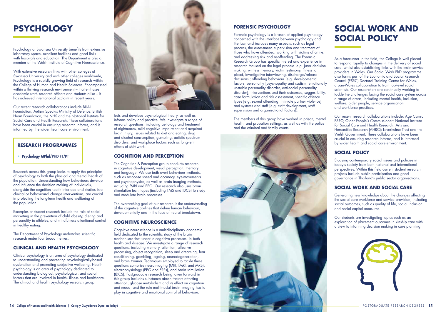

## **PSYCHOLOGY**

Psychology at Swansea University benefits from extensive laboratory space, excellent facilities and good links with hospitals and education. The Department is also a member of the Welsh Institute of Cognitive Neuroscience.

With extensive research links with other colleges at Swansea University and with other colleges worldwide, Psychology is a rapidly growing field of research within the College of Human and Health Sciences. Encompassed within a thriving research environment – that enthuses academic staff, research officers and students alike – it has achieved international acclaim in recent years.

Our recent research collaborations include BILAL Foundation; Autism Speaks; Ministry of Defence; British Heart Foundation; the NHS and the National Institute for Social Care and Health Research. These collaborations have been crucial in ensuring research informs, and is informed by, the wider healthcare environment.

#### **RESEARCH PROGRAMMES**

• Psychology MPhil/PHD FT/PT

Research across this group looks to apply the principles of psychology to both the physical and mental health of the population. Understanding how behaviours develop and influence the decision making of individuals, alongside the cognition-health interface and studies into clinical or behavioural change interventions, are crucial in protecting the long-term health and wellbeing of the population.

Examples of student research include the role of social marketing in the prevention of child obesity, dieting and personality in athletes, and mindfulness attentional control in healthy eating.

The Department of Psychology undertakes scientific research under four broad themes.

#### **CLINICAL AND HEALTH PSYCHOLOGY**

Clinical psychology is an area of psychology dedicated to understanding and preventing psychologically-based dysfunction and promoting subjective wellbeing. Health psychology is an area of psychology dedicated to understanding biological, psychological, and social factors that are involved in health, illness and healthcare. The clinical and health psychology research group



tests and develops psychological theory, as well as informs policy and practice. We investigate a range of research questions, including aetiology and treatment of nightmares, mild cognitive impairment and acquired brain injury, issues related to diet and eating, drug and alcohol consumption, gambling, autistic spectrum disorders, and workplace factors such as long-term effects of shift work.

#### **COGNITION AND PERCEPTION**

The Cognition & Perception group conducts research in cognitive development, visual perception, memory and language. We use both overt behaviour methods, such as response speed and accuracy, eye-movements and psychophysics, as well as brain imaging methods, including fMRI and EEG. Our research also uses brain stimulation techniques (including TMS and tDCS) to study and modulate brain processes.

The overarching goal of our research is the understanding of the cognitive abilities that define human behaviour, developmentally and in the face of neural breakdown.

#### **COGNITIVE NEUROSCIENCE**

Cognitive neuroscience is a multidisciplinary academic field dedicated to the scientific study of the brain mechanisms that underlie cognitive processes, in both health and disease. We investigate a range of research questions, including memory, attention, affective processing, object recognition, sleep and dreaming, fear conditioning, gambling, ageing, neurodegeneration, and brain trauma. Techniques employed to tackle these questions comprise neuroimaging (MRI, fMRI, and MRS), electrophysiology (EEG and ERPs), and brain stimulation (tDCS). Postgraduate research being taken forward in this group includes substance abuse factors affecting attention, glucose metabolism and its effect on cognition and mood, and the role multimodal brain imaging has to play in cognitive and emotional control of behaviour.

#### **FORENSIC PSYCHOLOGY**

Forensic psychology is a branch of applied psychology concerned with the interface between psychology and the law, and includes many aspects, such as legal process, the assessment, supervision and treatment of those who have offended, working with victims of crime, and addressing risk and re-offending. The Forensic Research Group has specific interest and experience in research focused on the legal process (e.g. juror decision making, witness memory, victim testimony, fitness to plead, investigative interviewing, discharge/release decisions); offending behaviour (e.g. developmental factors, personality [psychopathy and sadism, emotionally unstable personality disorder, anti-social personality disorder], interventions and their outcomes, suggestibility, case formulation and risk assessment, specific offence types [e.g. sexual offending, intimate partner violence] and systems and staff [e.g. staff development, staff supervision and organisational factors]).

The members of this group have worked in prison, mental health, and probation settings, as well as with the police and the criminal and family courts.

## **SOCIAL WORK AND SOCIAL POLICY**

As a forerunner in the field, the College is well placed to respond rapidly to changes in the delivery of social care, whilst also establishing links with the main service providers in Wales. Our Social Work PhD programme also forms part of the Economic and Social Research Council (ESRC) Doctoral Training Centre for Wales, a pan-Wales collaboration to train top-level social scientists. Our researchers are continually working to tackle the challenges facing the social care system across a range of areas, including mental health, inclusion, welfare, older people, service organisation and workforce practices.

Our recent research collaborations include: Age Cymru; ESRC; Older People's Commissioner; National Institute for Social Care and Health Research; Arts and Humanities Research (AHRC); Leverhulme Trust and the Welsh Government. These collaborations have been crucial in ensuring research informs, and is informed by wider health and social care environment.

#### **SOCIAL POLICY**

Studying contemporary social issues and policies in today's society from both national and international perspectives. Within this field current student research projects include public participation and good governance in Thailand's public sector organisations.

#### **SOCIAL WORK AND SOCIAL CARE**

Generating new knowledge about the changes affecting the social care workforce and service provision, including social outcomes, such as quality of life, social inclusion and social capital measures.

Our students are investigating topics such as an exploration of placement outcomes in kinship care with a view to informing decision making in care planning.

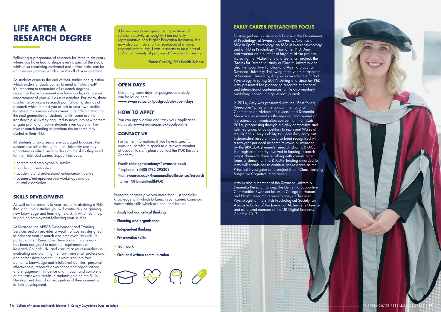## **LIFE AFTER A RESEARCH DEGREE**

Following a programme of research for three to six years, where you have had to shape every aspect of the study, whilst also remaining motivated and enthusiastic, can be an intensive process which absorbs all of your attention.

As students come to the end of their studies one question which understandably comes to mind is "what next?" It's important to remember all research degrees recognise the achievement you have made, and are an endorsement of your skill as a researcher. For many, there is a transition into a research post following strands of research which interest you or link to your own studies; for others it's a move into a career in academia teaching the next generation of students; whilst some use the transferable skills they acquired to move into new careers or gain promotion. Some students even apply for their own research funding to continue the research they started in their PhD.

- careers and employability service
- academic mentorship
- academic and professional enhancement centre
- business/entrepreneurship workshops and our alumni association.

All students at Swansea are encouraged to access the support available throughout the University and any opportunities which arise to develop the skills they need for their intended career. Support includes:

#### **SKILLS DEVELOPMENT**

As well as the benefits to your career in attaining a PhD, throughout your studies you will continually be gaining new knowledge and learning new skills which can help in gaining employment following your studies.

At Swansea the APECS Development and Training Services section provides a wealth of courses designed to enhance your research and employability skills. In particular their Researcher Development Framework has been designed to meet the requirements of Research Councils UK, and aims to assist researchers in evaluating and planning their own personal, professional and career development. It is structured into four domains; knowledge and intellectual abilities, personal effectiveness; research governance and organisation; and engagement, influence and impact, and completion of the framework results in students gaining the Skills Development Award as recognition of their commitment to their development.

'I have come to recognise the implications of scholarly activity as weighty. I am not only representative of a Higher Education Institution, but now also contribute to the reputation of a wider research community. I was fortunate to be a part of such a community of practice at Swansea University'.

Simon Cassidy, PhD Health Science

#### **OPEN DAYS**

Upcoming open days for postgraduate study can be found here: www.swansea.ac.uk/postgraduate/open-days

#### **HOW TO APPLY**

You can apply online and track your application status at: www.swansea.ac.uk/applyonline

#### **CONTACT US**

For further information, if you have a specific question, or wish to speak to a relevant member of academic staff, please contact the PGR Research Academy.

Email: chhs-pgr-academy@swansea.ac.uk

Telephone: +44(0)1792 295309

Visit: swansea.ac.uk/humanandhealthsciences/research Twitter: @HumanHealthPGR

Research degrees give you more than just specialist knowledge with which to launch your career. Common transferable skills which are acquired include:

- Analytical and critical thinking
- Planning and organisation
- Independent thinking
- Presentation skills
- Teamwork
- Oral and written communication



#### **EARLY CAREER RESEARCHER FOCUS**

Dr Amy Jenkins is a Research Fellow in the Department of Psychology, at Swansea University. Amy has an MSc in Sport Psychology, an MSc in Neuropsychology and a PhD in Psychology. Prior to her PhD, Amy had worked on a number of large multi-site projects including the 'Alzheimer's and Genetics' project, the 'Brains for Dementia' study at Cardiff University and also the 'Cognitive Function and Ageing Study' at Swansea University. Following three years of research at Swansea University, Amy was awarded the PhD of Psychology in spring 2017. During and since her PhD, Amy presented her pioneering research at national and international conferences, while also regularly publishing papers in high impact journals.

In 2014, Amy was presented with the "Best Young Researcher" prize at the annual International Conference on Alzheimer's disease and Dementia. She was also named as the regional final winner of the science communication competition, FameLab 2016, progressing through a highly competitive and talented group of competitors to represent Wales at the UK finals. Amy's ability to successfully carry out independent research has also been recognised with a two-year personal research fellowship, awarded by the BRACE-Alzheimer's research charity. BRACE is a registered charity involved in funding research into Alzheimer's disease, along with various other forms of dementia. The £100k+ funding awarded to Amy will enable her to continue her research as the Principal Investigator on a project titled "Characterising Subjective Cognitive Impairment".

Amy is also a member of the Swansea University Dementia Research Group, the Dementia Supportive Communities Swansea forum, a College of Human and Health research representative, a Chartered Psychologist of the British Psychological Society, an Associate Editor of the Journal of Alzheimer's Disease and an alumni member of the UK Digital Economy Crucible 2017.



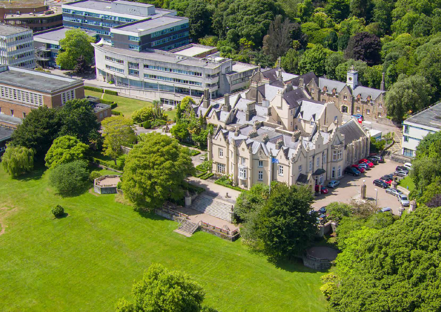